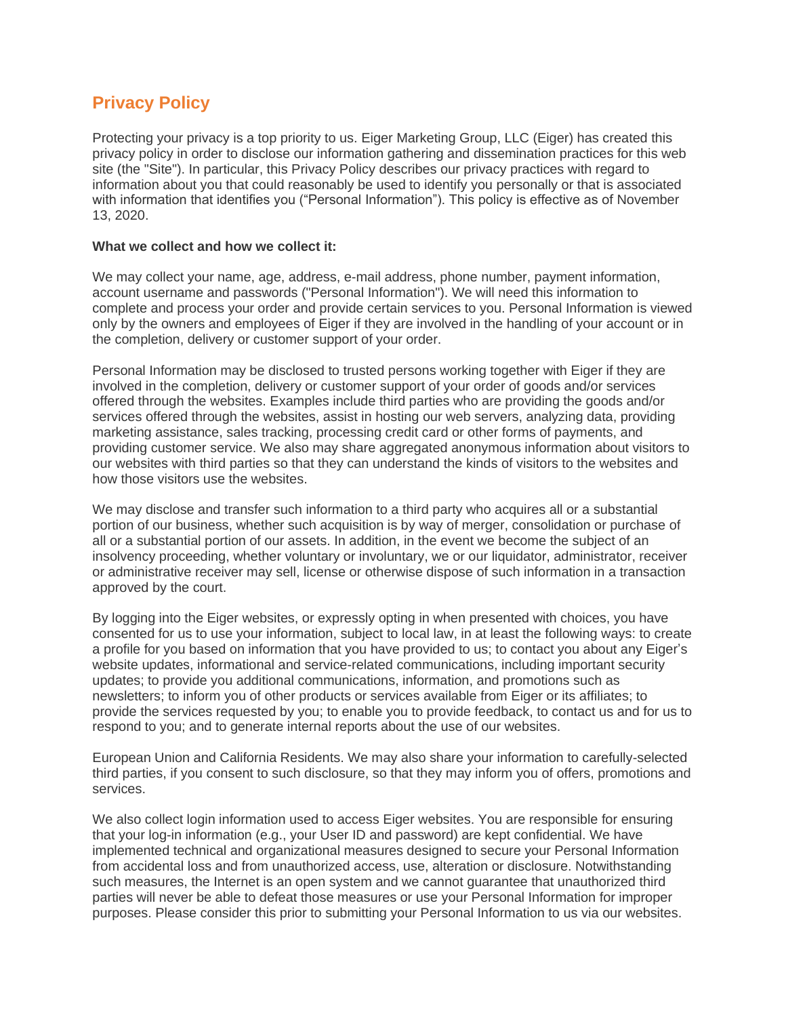# **Privacy Policy**

Protecting your privacy is a top priority to us. Eiger Marketing Group, LLC (Eiger) has created this privacy policy in order to disclose our information gathering and dissemination practices for this web site (the "Site"). In particular, this Privacy Policy describes our privacy practices with regard to information about you that could reasonably be used to identify you personally or that is associated with information that identifies you ("Personal Information"). This policy is effective as of November 13, 2020.

#### **What we collect and how we collect it:**

We may collect your name, age, address, e-mail address, phone number, payment information, account username and passwords ("Personal Information"). We will need this information to complete and process your order and provide certain services to you. Personal Information is viewed only by the owners and employees of Eiger if they are involved in the handling of your account or in the completion, delivery or customer support of your order.

Personal Information may be disclosed to trusted persons working together with Eiger if they are involved in the completion, delivery or customer support of your order of goods and/or services offered through the websites. Examples include third parties who are providing the goods and/or services offered through the websites, assist in hosting our web servers, analyzing data, providing marketing assistance, sales tracking, processing credit card or other forms of payments, and providing customer service. We also may share aggregated anonymous information about visitors to our websites with third parties so that they can understand the kinds of visitors to the websites and how those visitors use the websites.

We may disclose and transfer such information to a third party who acquires all or a substantial portion of our business, whether such acquisition is by way of merger, consolidation or purchase of all or a substantial portion of our assets. In addition, in the event we become the subject of an insolvency proceeding, whether voluntary or involuntary, we or our liquidator, administrator, receiver or administrative receiver may sell, license or otherwise dispose of such information in a transaction approved by the court.

By logging into the Eiger websites, or expressly opting in when presented with choices, you have consented for us to use your information, subject to local law, in at least the following ways: to create a profile for you based on information that you have provided to us; to contact you about any Eiger's website updates, informational and service-related communications, including important security updates; to provide you additional communications, information, and promotions such as newsletters; to inform you of other products or services available from Eiger or its affiliates; to provide the services requested by you; to enable you to provide feedback, to contact us and for us to respond to you; and to generate internal reports about the use of our websites.

European Union and California Residents. We may also share your information to carefully-selected third parties, if you consent to such disclosure, so that they may inform you of offers, promotions and services.

We also collect login information used to access Eiger websites. You are responsible for ensuring that your log-in information (e.g., your User ID and password) are kept confidential. We have implemented technical and organizational measures designed to secure your Personal Information from accidental loss and from unauthorized access, use, alteration or disclosure. Notwithstanding such measures, the Internet is an open system and we cannot guarantee that unauthorized third parties will never be able to defeat those measures or use your Personal Information for improper purposes. Please consider this prior to submitting your Personal Information to us via our websites.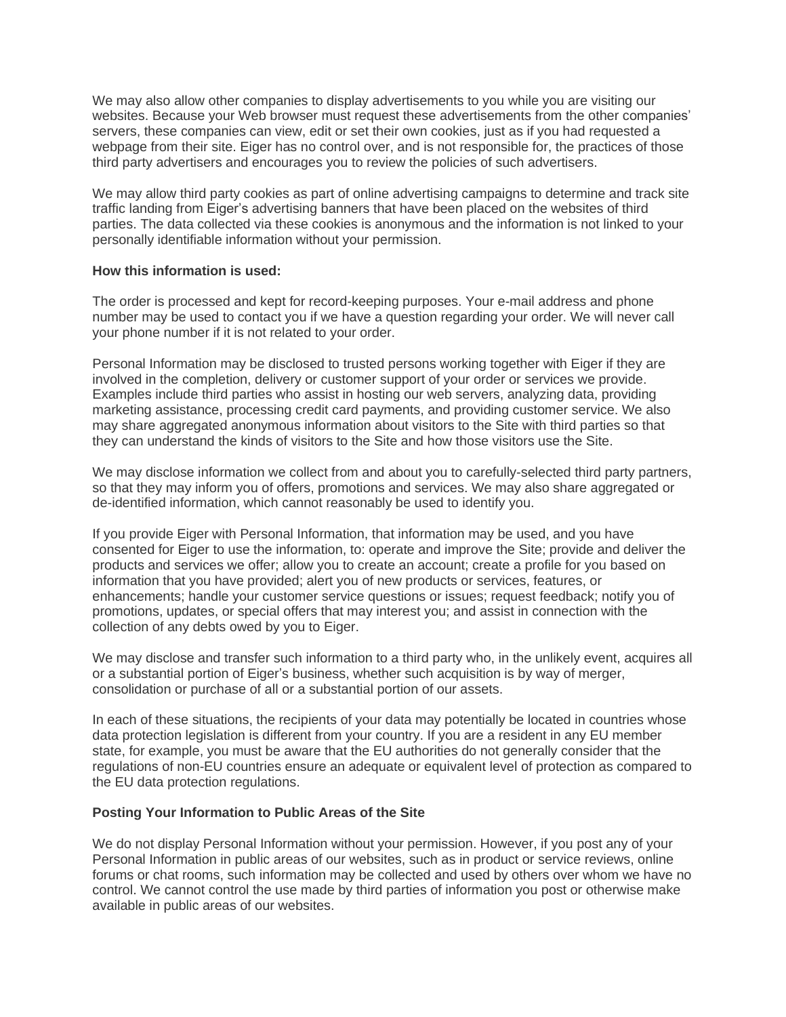We may also allow other companies to display advertisements to you while you are visiting our websites. Because your Web browser must request these advertisements from the other companies' servers, these companies can view, edit or set their own cookies, just as if you had requested a webpage from their site. Eiger has no control over, and is not responsible for, the practices of those third party advertisers and encourages you to review the policies of such advertisers.

We may allow third party cookies as part of online advertising campaigns to determine and track site traffic landing from Eiger's advertising banners that have been placed on the websites of third parties. The data collected via these cookies is anonymous and the information is not linked to your personally identifiable information without your permission.

#### **How this information is used:**

The order is processed and kept for record-keeping purposes. Your e-mail address and phone number may be used to contact you if we have a question regarding your order. We will never call your phone number if it is not related to your order.

Personal Information may be disclosed to trusted persons working together with Eiger if they are involved in the completion, delivery or customer support of your order or services we provide. Examples include third parties who assist in hosting our web servers, analyzing data, providing marketing assistance, processing credit card payments, and providing customer service. We also may share aggregated anonymous information about visitors to the Site with third parties so that they can understand the kinds of visitors to the Site and how those visitors use the Site.

We may disclose information we collect from and about you to carefully-selected third party partners, so that they may inform you of offers, promotions and services. We may also share aggregated or de-identified information, which cannot reasonably be used to identify you.

If you provide Eiger with Personal Information, that information may be used, and you have consented for Eiger to use the information, to: operate and improve the Site; provide and deliver the products and services we offer; allow you to create an account; create a profile for you based on information that you have provided; alert you of new products or services, features, or enhancements; handle your customer service questions or issues; request feedback; notify you of promotions, updates, or special offers that may interest you; and assist in connection with the collection of any debts owed by you to Eiger.

We may disclose and transfer such information to a third party who, in the unlikely event, acquires all or a substantial portion of Eiger's business, whether such acquisition is by way of merger, consolidation or purchase of all or a substantial portion of our assets.

In each of these situations, the recipients of your data may potentially be located in countries whose data protection legislation is different from your country. If you are a resident in any EU member state, for example, you must be aware that the EU authorities do not generally consider that the regulations of non-EU countries ensure an adequate or equivalent level of protection as compared to the EU data protection regulations.

### **Posting Your Information to Public Areas of the Site**

We do not display Personal Information without your permission. However, if you post any of your Personal Information in public areas of our websites, such as in product or service reviews, online forums or chat rooms, such information may be collected and used by others over whom we have no control. We cannot control the use made by third parties of information you post or otherwise make available in public areas of our websites.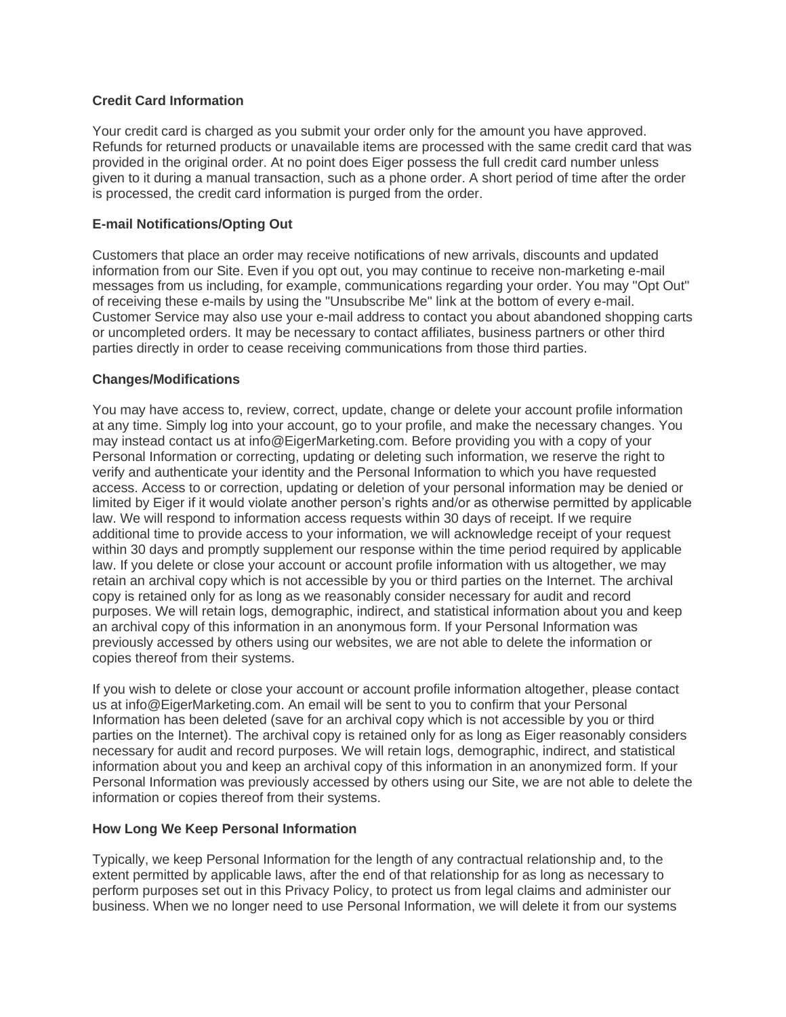### **Credit Card Information**

Your credit card is charged as you submit your order only for the amount you have approved. Refunds for returned products or unavailable items are processed with the same credit card that was provided in the original order. At no point does Eiger possess the full credit card number unless given to it during a manual transaction, such as a phone order. A short period of time after the order is processed, the credit card information is purged from the order.

## **E-mail Notifications/Opting Out**

Customers that place an order may receive notifications of new arrivals, discounts and updated information from our Site. Even if you opt out, you may continue to receive non-marketing e-mail messages from us including, for example, communications regarding your order. You may "Opt Out" of receiving these e-mails by using the "Unsubscribe Me" link at the bottom of every e-mail. Customer Service may also use your e-mail address to contact you about abandoned shopping carts or uncompleted orders. It may be necessary to contact affiliates, business partners or other third parties directly in order to cease receiving communications from those third parties.

## **Changes/Modifications**

You may have access to, review, correct, update, change or delete your account profile information at any time. Simply log into your account, go to your profile, and make the necessary changes. You may instead contact us at info@EigerMarketing.com. Before providing you with a copy of your Personal Information or correcting, updating or deleting such information, we reserve the right to verify and authenticate your identity and the Personal Information to which you have requested access. Access to or correction, updating or deletion of your personal information may be denied or limited by Eiger if it would violate another person's rights and/or as otherwise permitted by applicable law. We will respond to information access requests within 30 days of receipt. If we require additional time to provide access to your information, we will acknowledge receipt of your request within 30 days and promptly supplement our response within the time period required by applicable law. If you delete or close your account or account profile information with us altogether, we may retain an archival copy which is not accessible by you or third parties on the Internet. The archival copy is retained only for as long as we reasonably consider necessary for audit and record purposes. We will retain logs, demographic, indirect, and statistical information about you and keep an archival copy of this information in an anonymous form. If your Personal Information was previously accessed by others using our websites, we are not able to delete the information or copies thereof from their systems.

If you wish to delete or close your account or account profile information altogether, please contact us at info@EigerMarketing.com. An email will be sent to you to confirm that your Personal Information has been deleted (save for an archival copy which is not accessible by you or third parties on the Internet). The archival copy is retained only for as long as Eiger reasonably considers necessary for audit and record purposes. We will retain logs, demographic, indirect, and statistical information about you and keep an archival copy of this information in an anonymized form. If your Personal Information was previously accessed by others using our Site, we are not able to delete the information or copies thereof from their systems.

### **How Long We Keep Personal Information**

Typically, we keep Personal Information for the length of any contractual relationship and, to the extent permitted by applicable laws, after the end of that relationship for as long as necessary to perform purposes set out in this Privacy Policy, to protect us from legal claims and administer our business. When we no longer need to use Personal Information, we will delete it from our systems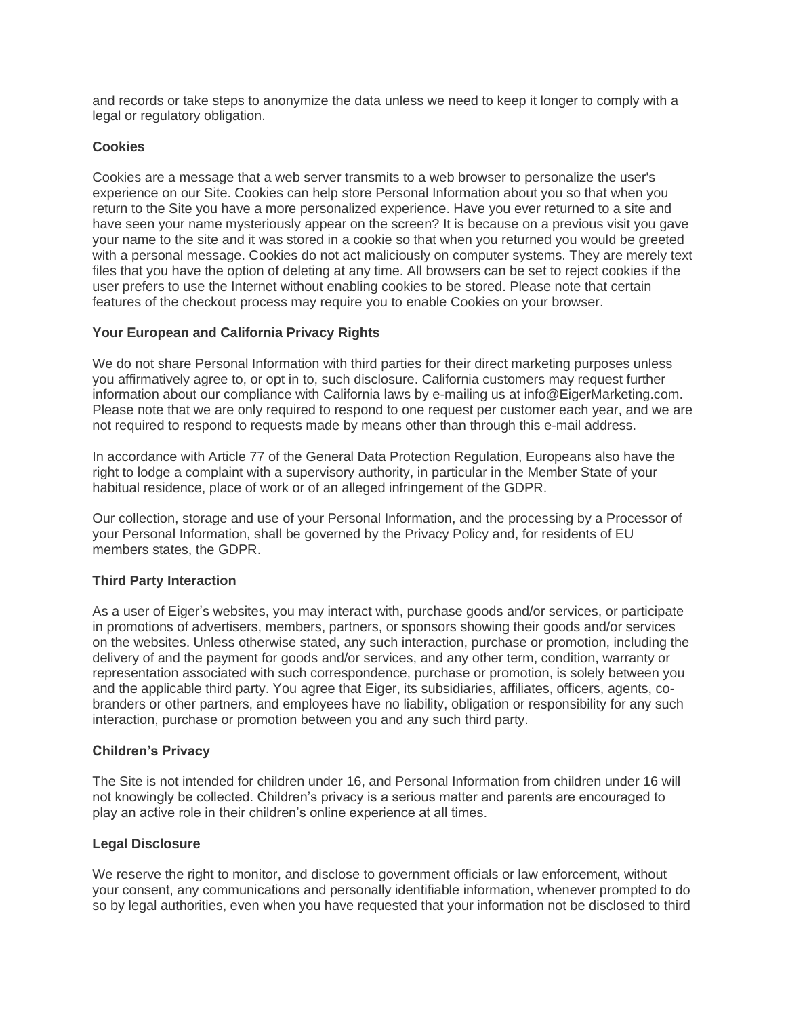and records or take steps to anonymize the data unless we need to keep it longer to comply with a legal or regulatory obligation.

### **Cookies**

Cookies are a message that a web server transmits to a web browser to personalize the user's experience on our Site. Cookies can help store Personal Information about you so that when you return to the Site you have a more personalized experience. Have you ever returned to a site and have seen your name mysteriously appear on the screen? It is because on a previous visit you gave your name to the site and it was stored in a cookie so that when you returned you would be greeted with a personal message. Cookies do not act maliciously on computer systems. They are merely text files that you have the option of deleting at any time. All browsers can be set to reject cookies if the user prefers to use the Internet without enabling cookies to be stored. Please note that certain features of the checkout process may require you to enable Cookies on your browser.

## **Your European and California Privacy Rights**

We do not share Personal Information with third parties for their direct marketing purposes unless you affirmatively agree to, or opt in to, such disclosure. California customers may request further information about our compliance with California laws by e-mailing us at info@EigerMarketing.com. Please note that we are only required to respond to one request per customer each year, and we are not required to respond to requests made by means other than through this e-mail address.

In accordance with Article 77 of the General Data Protection Regulation, Europeans also have the right to lodge a complaint with a supervisory authority, in particular in the Member State of your habitual residence, place of work or of an alleged infringement of the GDPR.

Our collection, storage and use of your Personal Information, and the processing by a Processor of your Personal Information, shall be governed by the Privacy Policy and, for residents of EU members states, the GDPR.

### **Third Party Interaction**

As a user of Eiger's websites, you may interact with, purchase goods and/or services, or participate in promotions of advertisers, members, partners, or sponsors showing their goods and/or services on the websites. Unless otherwise stated, any such interaction, purchase or promotion, including the delivery of and the payment for goods and/or services, and any other term, condition, warranty or representation associated with such correspondence, purchase or promotion, is solely between you and the applicable third party. You agree that Eiger, its subsidiaries, affiliates, officers, agents, cobranders or other partners, and employees have no liability, obligation or responsibility for any such interaction, purchase or promotion between you and any such third party.

### **Children's Privacy**

The Site is not intended for children under 16, and Personal Information from children under 16 will not knowingly be collected. Children's privacy is a serious matter and parents are encouraged to play an active role in their children's online experience at all times.

### **Legal Disclosure**

We reserve the right to monitor, and disclose to government officials or law enforcement, without your consent, any communications and personally identifiable information, whenever prompted to do so by legal authorities, even when you have requested that your information not be disclosed to third